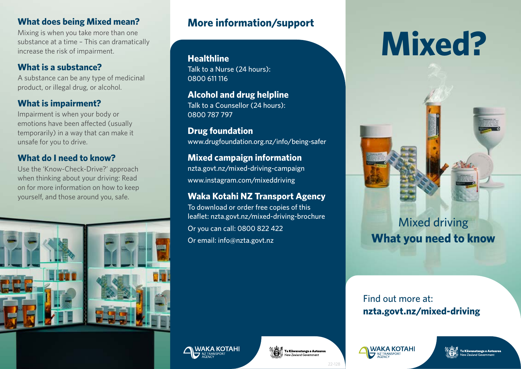#### **What does being Mixed mean?**

Mixing is when you take more than one substance at a time – This can dramatically increase the risk of impairment.

#### **What is a substance?**

A substance can be any type of medicinal product, or illegal drug, or alcohol.

#### **What is impairment?**

Impairment is when your body or emotions have been affected (usually temporarily) in a way that can make it unsafe for you to drive.

#### **What do I need to know?**

Use the 'Know-Check-Drive?' approach when thinking about your driving: Read on for more information on how to keep yourself, and those around you, safe.



## **More information/support**

**Healthline** Talk to a Nurse (24 hours): 0800 611 116

**Alcohol and drug helpline** Talk to a Counsellor (24 hours): 0800 787 797

**Drug foundation** [www.drugfoundation.org.nz/info/being-safer](http://www.drugfoundation.org.nz/info/being-safer)

#### **Mixed campaign information**

[nzta.govt.nz/mixed-driving-campaign](http://nzta.govt.nz/mixed-driving-campaign) [www.instagram.com/mixeddriving](http://www.instagram.com/mixeddriving)

#### **Waka Kotahi NZ Transport Agency**

To download or order free copies of this leaflet: [nzta.govt.nz/mixed-driving-brochure](http://nzta.govt.nz/mixed-driving-brochure) Or you can call: 0800 822 422 Or email: [info@nzta.govt.nz](mailto:info%40nzta.govt.nz?subject=mixed%20driving)

# **Mixed?**



### Find out more at: **[nzta.govt.nz/mixed-driving](http://nzta.govt.nz/mixed-driving)**





22-128